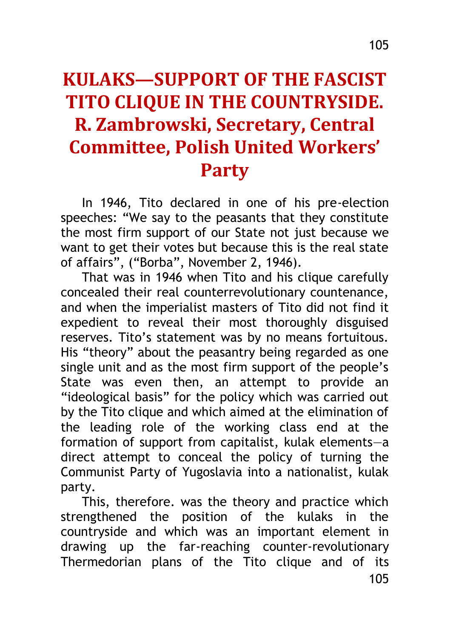## **KULAKS—SUPPORT OF THE FASCIST TITO CLIQUE IN THE COUNTRYSIDE. R. Zambrowski, Secretary, Central Committee, Polish United Workers' Party**

In 1946, Tito declared in one of his pre-election speeches: "We say to the peasants that they constitute the most firm support of our State not just because we want to get their votes but because this is the real state of affairs", ("Borba", November 2, 1946).

That was in 1946 when Tito and his clique carefully concealed their real counterrevolutionary countenance, and when the imperialist masters of Tito did not find it expedient to reveal their most thoroughly disguised reserves. Tito's statement was by no means fortuitous. His "theory" about the peasantry being regarded as one single unit and as the most firm support of the people's State was even then, an attempt to provide an "ideological basis" for the policy which was carried out by the Tito clique and which aimed at the elimination of the leading role of the working class end at the formation of support from capitalist, kulak elements—a direct attempt to conceal the policy of turning the Communist Party of Yugoslavia into a nationalist, kulak party.

105 This, therefore. was the theory and practice which strengthened the position of the kulaks in the countryside and which was an important element in drawing up the far-reaching counter-revolutionary Thermedorian plans of the Tito clique and of its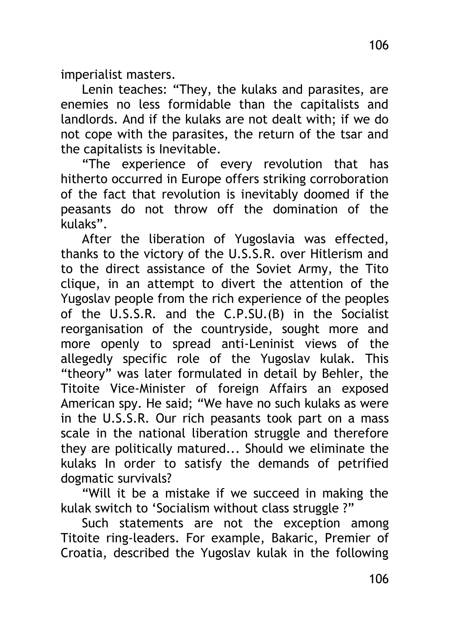imperialist masters.

Lenin teaches: "They, the kulaks and parasites, are enemies no less formidable than the capitalists and landlords. And if the kulaks are not dealt with; if we do not cope with the parasites, the return of the tsar and the capitalists is Inevitable.

"The experience of every revolution that has hitherto occurred in Europe offers striking corroboration of the fact that revolution is inevitably doomed if the peasants do not throw off the domination of the kulaks".

After the liberation of Yugoslavia was effected, thanks to the victory of the U.S.S.R. over Hitlerism and to the direct assistance of the Soviet Army, the Tito clique, in an attempt to divert the attention of the Yugoslav people from the rich experience of the peoples of the U.S.S.R. and the C.P.SU.(B) in the Socialist reorganisation of the countryside, sought more and more openly to spread anti-Leninist views of the allegedly specific role of the Yugoslav kulak. This "theory" was later formulated in detail by Behler, the Titoite Vice-Minister of foreign Affairs an exposed American spy. He said; "We have no such kulaks as were in the U.S.S.R. Our rich peasants took part on a mass scale in the national liberation struggle and therefore they are politically matured... Should we eliminate the kulaks In order to satisfy the demands of petrified dogmatic survivals?

"Will it be a mistake if we succeed in making the kulak switch to 'Socialism without class struggle ?"

Such statements are not the exception among Titoite ring-leaders. For example, Bakaric, Premier of Croatia, described the Yugoslav kulak in the following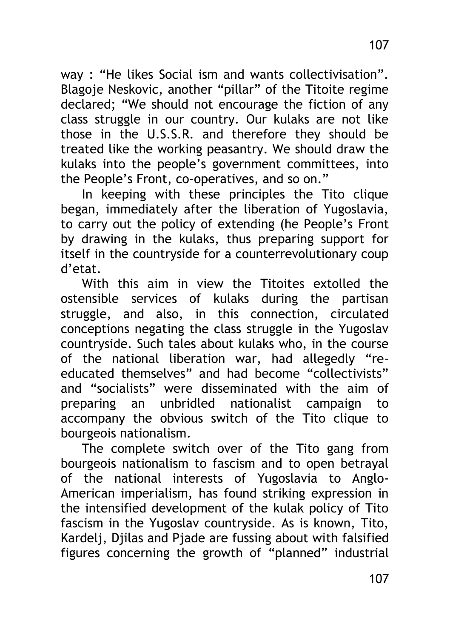way : "He likes Social ism and wants collectivisation". Blagoje Neskovic, another "pillar" of the Titoite regime declared; "We should not encourage the fiction of any class struggle in our country. Our kulaks are not like those in the U.S.S.R. and therefore they should be treated like the working peasantry. We should draw the kulaks into the people's government committees, into the People's Front, co-operatives, and so on."

In keeping with these principles the Tito clique began, immediately after the liberation of Yugoslavia, to carry out the policy of extending (he People's Front by drawing in the kulaks, thus preparing support for itself in the countryside for a counterrevolutionary coup d'etat.

With this aim in view the Titoites extolled the ostensible services of kulaks during the partisan struggle, and also, in this connection, circulated conceptions negating the class struggle in the Yugoslav countryside. Such tales about kulaks who, in the course of the national liberation war, had allegedly "reeducated themselves" and had become "collectivists" and "socialists" were disseminated with the aim of preparing an unbridled nationalist campaign to accompany the obvious switch of the Tito clique to bourgeois nationalism.

The complete switch over of the Tito gang from bourgeois nationalism to fascism and to open betrayal of the national interests of Yugoslavia to Anglo-American imperialism, has found striking expression in the intensified development of the kulak policy of Tito fascism in the Yugoslav countryside. As is known, Tito, Kardeli, Diilas and Piade are fussing about with falsified figures concerning the growth of "planned" industrial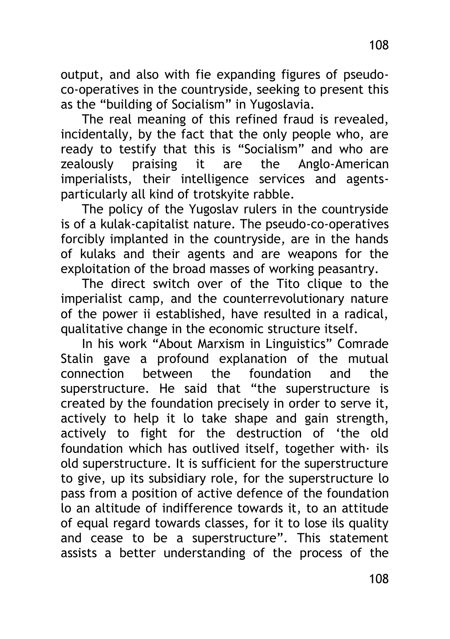output, and also with fie expanding figures of pseudoco-operatives in the countryside, seeking to present this as the "building of Socialism" in Yugoslavia.

The real meaning of this refined fraud is revealed, incidentally, by the fact that the only people who, are ready to testify that this is "Socialism" and who are zealously praising it are the Anglo-American imperialists, their intelligence services and agentsparticularly all kind of trotskyite rabble.

The policy of the Yugoslav rulers in the countryside is of a kulak-capitalist nature. The pseudo-co-operatives forcibly implanted in the countryside, are in the hands of kulaks and their agents and are weapons for the exploitation of the broad masses of working peasantry.

The direct switch over of the Tito clique to the imperialist camp, and the counterrevolutionary nature of the power ii established, have resulted in a radical, qualitative change in the economic structure itself.

In his work "About Marxism in Linguistics" Comrade Stalin gave a profound explanation of the mutual connection between the foundation and the superstructure. He said that "the superstructure is created by the foundation precisely in order to serve it, actively to help it lo take shape and gain strength, actively to fight for the destruction of 'the old foundation which has outlived itself, together with· ils old superstructure. It is sufficient for the superstructure to give, up its subsidiary role, for the superstructure lo pass from a position of active defence of the foundation lo an altitude of indifference towards it, to an attitude of equal regard towards classes, for it to lose ils quality and cease to be a superstructure". This statement assists a better understanding of the process of the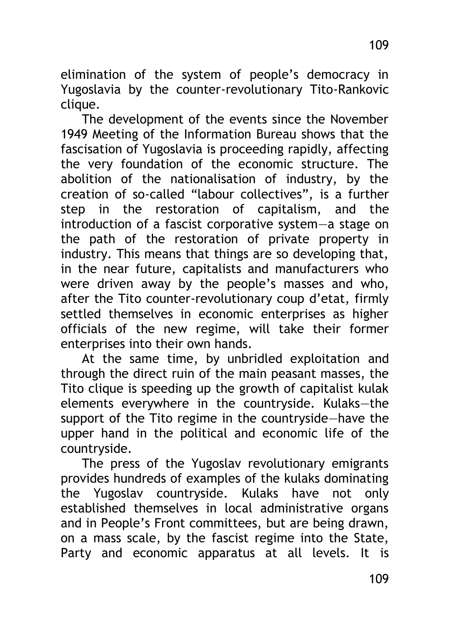elimination of the system of people's democracy in Yugoslavia by the counter-revolutionary Tito-Rankovic clique.

The development of the events since the November 1949 Meeting of the Information Bureau shows that the fascisation of Yugoslavia is proceeding rapidly, affecting the very foundation of the economic structure. The abolition of the nationalisation of industry, by the creation of so-called "labour collectives", is a further step in the restoration of capitalism, and the introduction of a fascist corporative system—a stage on the path of the restoration of private property in industry. This means that things are so developing that, in the near future, capitalists and manufacturers who were driven away by the people's masses and who, after the Tito counter-revolutionary coup d'etat, firmly settled themselves in economic enterprises as higher officials of the new regime, will take their former enterprises into their own hands.

At the same time, by unbridled exploitation and through the direct ruin of the main peasant masses, the Tito clique is speeding up the growth of capitalist kulak elements everywhere in the countryside. Kulaks—the support of the Tito regime in the countryside—have the upper hand in the political and economic life of the countryside.

The press of the Yugoslav revolutionary emigrants provides hundreds of examples of the kulaks dominating the Yugoslav countryside. Kulaks have not only established themselves in local administrative organs and in People's Front committees, but are being drawn, on a mass scale, by the fascist regime into the State, Party and economic apparatus at all levels. It is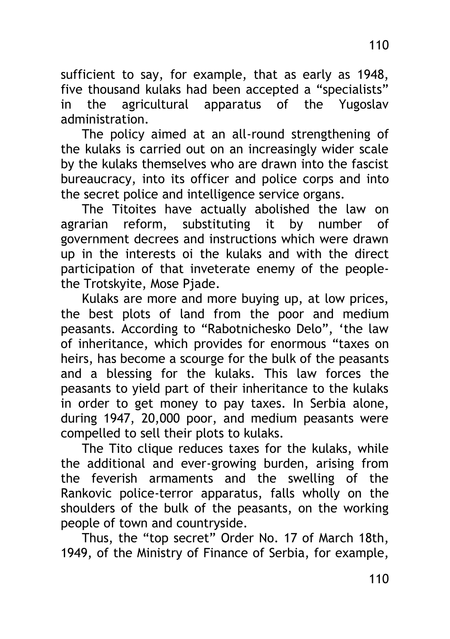sufficient to say, for example, that as early as 1948, five thousand kulaks had been accepted a "specialists" in the agricultural apparatus of the Yugoslav administration.

The policy aimed at an all-round strengthening of the kulaks is carried out on an increasingly wider scale by the kulaks themselves who are drawn into the fascist bureaucracy, into its officer and police corps and into the secret police and intelligence service organs.

The Titoites have actually abolished the law on agrarian reform, substituting it by number of government decrees and instructions which were drawn up in the interests oi the kulaks and with the direct participation of that inveterate enemy of the peoplethe Trotskyite, Mose Pjade.

Kulaks are more and more buying up, at low prices, the best plots of land from the poor and medium peasants. According to "Rabotnichesko Delo", 'the law of inheritance, which provides for enormous "taxes on heirs, has become a scourge for the bulk of the peasants and a blessing for the kulaks. This law forces the peasants to yield part of their inheritance to the kulaks in order to get money to pay taxes. In Serbia alone, during 1947, 20,000 poor, and medium peasants were compelled to sell their plots to kulaks.

The Tito clique reduces taxes for the kulaks, while the additional and ever-growing burden, arising from the feverish armaments and the swelling of the Rankovic police-terror apparatus, falls wholly on the shoulders of the bulk of the peasants, on the working people of town and countryside.

Thus, the "top secret" Order No. 17 of March 18th, 1949, of the Ministry of Finance of Serbia, for example,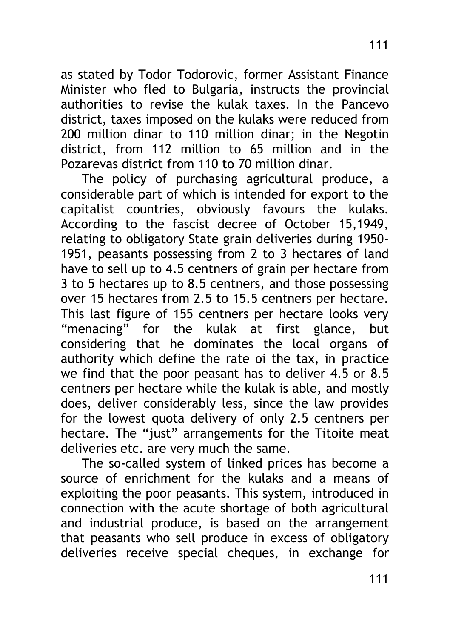as stated by Todor Todorovic, former Assistant Finance Minister who fled to Bulgaria, instructs the provincial authorities to revise the kulak taxes. In the Pancevo district, taxes imposed on the kulaks were reduced from 200 million dinar to 110 million dinar; in the Negotin district, from 112 million to 65 million and in the Pozarevas district from 110 to 70 million dinar.

The policy of purchasing agricultural produce, a considerable part of which is intended for export to the capitalist countries, obviously favours the kulaks. According to the fascist decree of October 15,1949, relating to obligatory State grain deliveries during 1950- 1951, peasants possessing from 2 to 3 hectares of land have to sell up to 4.5 centners of grain per hectare from 3 to 5 hectares up to 8.5 centners, and those possessing over 15 hectares from 2.5 to 15.5 centners per hectare. This last figure of 155 centners per hectare looks very "menacing" for the kulak at first glance, but considering that he dominates the local organs of authority which define the rate oi the tax, in practice we find that the poor peasant has to deliver 4.5 or 8.5 centners per hectare while the kulak is able, and mostly does, deliver considerably less, since the law provides for the lowest quota delivery of only 2.5 centners per hectare. The "just" arrangements for the Titoite meat deliveries etc. are very much the same.

The so-called system of linked prices has become a source of enrichment for the kulaks and a means of exploiting the poor peasants. This system, introduced in connection with the acute shortage of both agricultural and industrial produce, is based on the arrangement that peasants who sell produce in excess of obligatory deliveries receive special cheques, in exchange for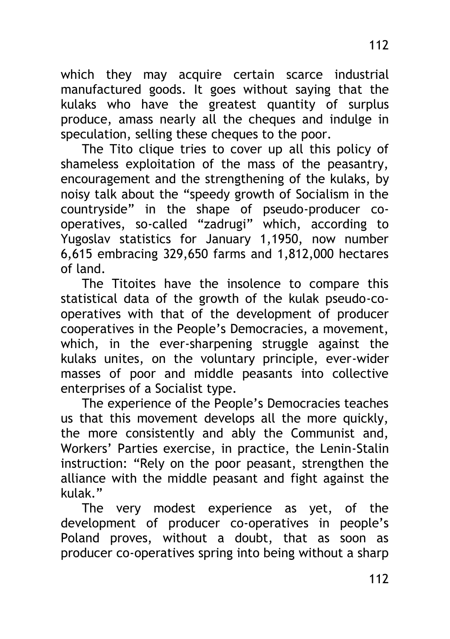which they may acquire certain scarce industrial manufactured goods. It goes without saying that the kulaks who have the greatest quantity of surplus produce, amass nearly all the cheques and indulge in speculation, selling these cheques to the poor.

The Tito clique tries to cover up all this policy of shameless exploitation of the mass of the peasantry, encouragement and the strengthening of the kulaks, by noisy talk about the "speedy growth of Socialism in the countryside" in the shape of pseudo-producer cooperatives, so-called "zadrugi" which, according to Yugoslav statistics for January 1,1950, now number 6,615 embracing 329,650 farms and 1,812,000 hectares of land.

The Titoites have the insolence to compare this statistical data of the growth of the kulak pseudo-cooperatives with that of the development of producer cooperatives in the People's Democracies, a movement, which, in the ever-sharpening struggle against the kulaks unites, on the voluntary principle, ever-wider masses of poor and middle peasants into collective enterprises of a Socialist type.

The experience of the People's Democracies teaches us that this movement develops all the more quickly, the more consistently and ably the Communist and, Workers' Parties exercise, in practice, the Lenin-Stalin instruction: "Rely on the poor peasant, strengthen the alliance with the middle peasant and fight against the kulak."

The very modest experience as yet, of the development of producer co-operatives in people's Poland proves, without a doubt, that as soon as producer co-operatives spring into being without a sharp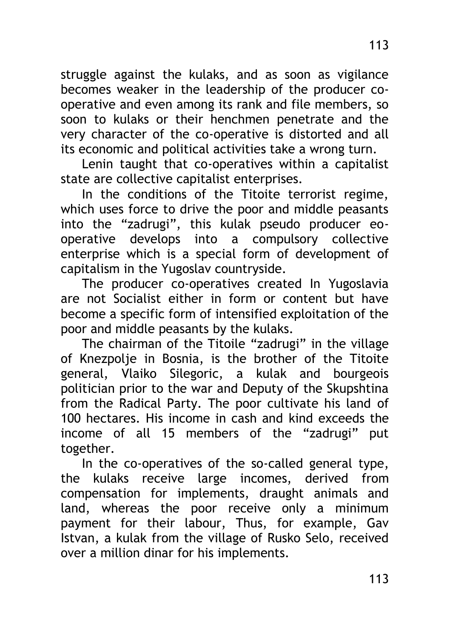struggle against the kulaks, and as soon as vigilance becomes weaker in the leadership of the producer cooperative and even among its rank and file members, so soon to kulaks or their henchmen penetrate and the very character of the co-operative is distorted and all its economic and political activities take a wrong turn.

Lenin taught that co-operatives within a capitalist state are collective capitalist enterprises.

In the conditions of the Titoite terrorist regime, which uses force to drive the poor and middle peasants into the "zadrugi", this kulak pseudo producer eooperative develops into a compulsory collective enterprise which is a special form of development of capitalism in the Yugoslav countryside.

The producer co-operatives created In Yugoslavia are not Socialist either in form or content but have become a specific form of intensified exploitation of the poor and middle peasants by the kulaks.

The chairman of the Titoile "zadrugi" in the village of Knezpolje in Bosnia, is the brother of the Titoite general, Vlaiko Silegoric, a kulak and bourgeois politician prior to the war and Deputy of the Skupshtina from the Radical Party. The poor cultivate his land of 100 hectares. His income in cash and kind exceeds the income of all 15 members of the "zadrugi" put together.

In the co-operatives of the so-called general type, the kulaks receive large incomes, derived from compensation for implements, draught animals and land, whereas the poor receive only a minimum payment for their labour, Thus, for example, Gav Istvan, a kulak from the village of Rusko Selo, received over a million dinar for his implements.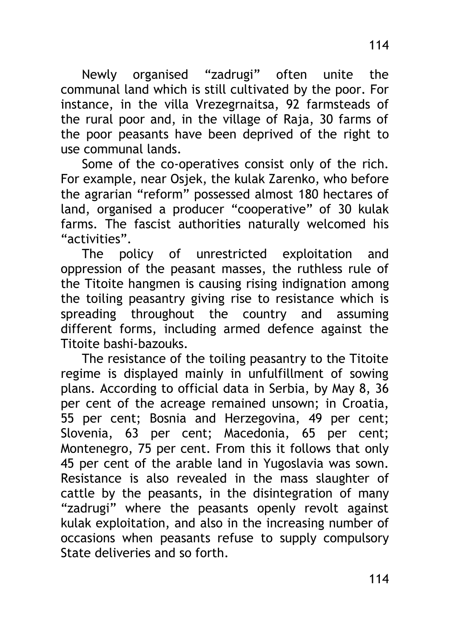Newly organised "zadrugi" often unite the communal land which is still cultivated by the poor. For instance, in the villa Vrezegrnaitsa, 92 farmsteads of the rural poor and, in the village of Raja, 30 farms of the poor peasants have been deprived of the right to use communal lands.

Some of the co-operatives consist only of the rich. For example, near Osjek, the kulak Zarenko, who before the agrarian "reform" possessed almost 180 hectares of land, organised a producer "cooperative" of 30 kulak farms. The fascist authorities naturally welcomed his "activities".

The policy of unrestricted exploitation and oppression of the peasant masses, the ruthless rule of the Titoite hangmen is causing rising indignation among the toiling peasantry giving rise to resistance which is spreading throughout the country and assuming different forms, including armed defence against the Titoite bashi-bazouks.

The resistance of the toiling peasantry to the Titoite regime is displayed mainly in unfulfillment of sowing plans. According to official data in Serbia, by May 8, 36 per cent of the acreage remained unsown; in Croatia, 55 per cent; Bosnia and Herzegovina, 49 per cent; Slovenia, 63 per cent; Macedonia, 65 per cent; Montenegro, 75 per cent. From this it follows that only 45 per cent of the arable land in Yugoslavia was sown. Resistance is also revealed in the mass slaughter of cattle by the peasants, in the disintegration of many "zadrugi" where the peasants openly revolt against kulak exploitation, and also in the increasing number of occasions when peasants refuse to supply compulsory State deliveries and so forth.